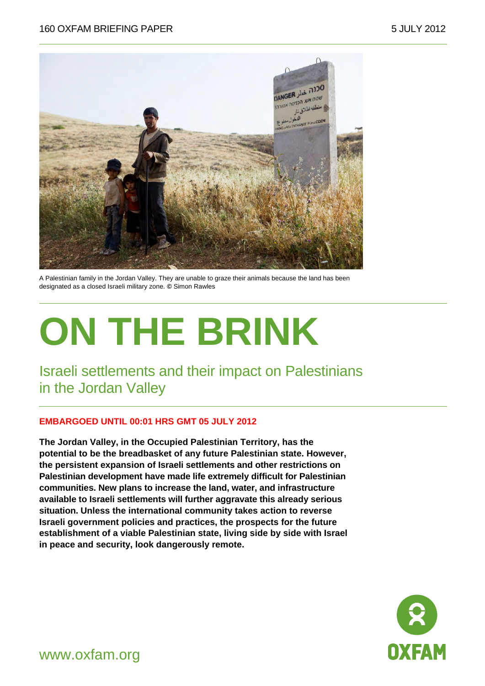

A Palestinian family in the Jordan Valley. They are unable to graze their animals because the land has been designated as a closed Israeli military zone. **©** Simon Rawles

# **ON THE BRINK**

Israeli settlements and their impact on Palestinians in the Jordan Valley

#### **EMBARGOED UNTIL 00:01 HRS GMT 05 JULY 2012**

**The Jordan Valley, in the Occupied Palestinian Territory, has the potential to be the breadbasket of any future Palestinian state. However, the persistent expansion of Israeli settlements and other restrictions on Palestinian development have made life extremely difficult for Palestinian communities. New plans to increase the land, water, and infrastructure available to Israeli settlements will further aggravate this already serious situation. Unless the international community takes action to reverse Israeli government policies and practices, the prospects for the future establishment of a viable Palestinian state, living side by side with Israel in peace and security, look dangerously remote.** 



www.oxfam.org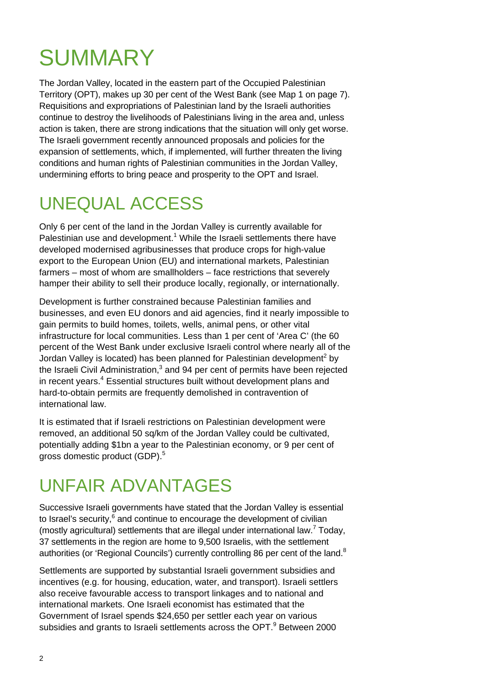# **SUMMARY**

The Jordan Valley, located in the eastern part of the Occupied Palestinian Territory (OPT), makes up 30 per cent of the West Bank (see Map 1 on page 7). Requisitions and expropriations of Palestinian land by the Israeli authorities continue to destroy the livelihoods of Palestinians living in the area and, unless action is taken, there are strong indications that the situation will only get worse. The Israeli government recently announced proposals and policies for the expansion of settlements, which, if implemented, will further threaten the living conditions and human rights of Palestinian communities in the Jordan Valley, undermining efforts to bring peace and prosperity to the OPT and Israel.

### UNEQUAL ACCESS

Only 6 per cent of the land in the Jordan Valley is currently available for Palestinian use and development.<sup>1</sup> While the Israeli settlements there have developed modernised agribusinesses that produce crops for high-value export to the European Union (EU) and international markets, Palestinian farmers – most of whom are smallholders – face restrictions that severely hamper their ability to sell their produce locally, regionally, or internationally.

Development is further constrained because Palestinian families and businesses, and even EU donors and aid agencies, find it nearly impossible to gain permits to build homes, toilets, wells, animal pens, or other vital infrastructure for local communities. Less than 1 per cent of 'Area C' (the 60 percent of the West Bank under exclusive Israeli control where nearly all of the Jordan Valley is located) has been planned for Palestinian development<sup>2</sup> by the Israeli Civil Administration,<sup>3</sup> and 94 per cent of permits have been rejected in recent years.<sup>4</sup> Essential structures built without development plans and hard-to-obtain permits are frequently demolished in contravention of international law.

It is estimated that if Israeli restrictions on Palestinian development were removed, an additional 50 sq/km of the Jordan Valley could be cultivated, potentially adding \$1bn a year to the Palestinian economy, or 9 per cent of gross domestic product (GDP).<sup>5</sup>

### UNFAIR ADVANTAGES

Successive Israeli governments have stated that the Jordan Valley is essential to Israel's security, $6$  and continue to encourage the development of civilian (mostly agricultural) settlements that are illegal under international law.<sup>7</sup> Today, 37 settlements in the region are home to 9,500 Israelis, with the settlement authorities (or 'Regional Councils') currently controlling 86 per cent of the land.<sup>8</sup>

Settlements are supported by substantial Israeli government subsidies and incentives (e.g. for housing, education, water, and transport). Israeli settlers also receive favourable access to transport linkages and to national and international markets. One Israeli economist has estimated that the Government of Israel spends \$24,650 per settler each year on various subsidies and grants to Israeli settlements across the OPT. $9$  Between 2000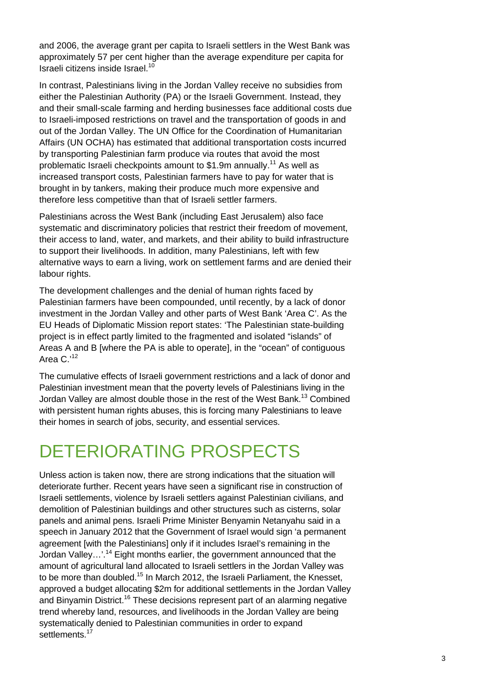and 2006, the average grant per capita to Israeli settlers in the West Bank was approximately 57 per cent higher than the average expenditure per capita for Israeli citizens inside Israel.<sup>10</sup>

In contrast, Palestinians living in the Jordan Valley receive no subsidies from either the Palestinian Authority (PA) or the Israeli Government. Instead, they and their small-scale farming and herding businesses face additional costs due to Israeli-imposed restrictions on travel and the transportation of goods in and out of the Jordan Valley. The UN Office for the Coordination of Humanitarian Affairs (UN OCHA) has estimated that additional transportation costs incurred by transporting Palestinian farm produce via routes that avoid the most problematic Israeli checkpoints amount to \$1.9m annually.<sup>11</sup> As well as increased transport costs, Palestinian farmers have to pay for water that is brought in by tankers, making their produce much more expensive and therefore less competitive than that of Israeli settler farmers.

Palestinians across the West Bank (including East Jerusalem) also face systematic and discriminatory policies that restrict their freedom of movement, their access to land, water, and markets, and their ability to build infrastructure to support their livelihoods. In addition, many Palestinians, left with few alternative ways to earn a living, work on settlement farms and are denied their labour rights.

The development challenges and the denial of human rights faced by Palestinian farmers have been compounded, until recently, by a lack of donor investment in the Jordan Valley and other parts of West Bank 'Area C'. As the EU Heads of Diplomatic Mission report states: 'The Palestinian state-building project is in effect partly limited to the fragmented and isolated "islands" of Areas A and B [where the PA is able to operate], in the "ocean" of contiguous Area C.'<sup>12</sup>

The cumulative effects of Israeli government restrictions and a lack of donor and Palestinian investment mean that the poverty levels of Palestinians living in the Jordan Valley are almost double those in the rest of the West Bank.<sup>13</sup> Combined with persistent human rights abuses, this is forcing many Palestinians to leave their homes in search of jobs, security, and essential services.

#### DETERIORATING PROSPECTS

Unless action is taken now, there are strong indications that the situation will deteriorate further. Recent years have seen a significant rise in construction of Israeli settlements, violence by Israeli settlers against Palestinian civilians, and demolition of Palestinian buildings and other structures such as cisterns, solar panels and animal pens. Israeli Prime Minister Benyamin Netanyahu said in a speech in January 2012 that the Government of Israel would sign 'a permanent agreement [with the Palestinians] only if it includes Israel's remaining in the Jordan Valley...'.<sup>14</sup> Eight months earlier, the government announced that the amount of agricultural land allocated to Israeli settlers in the Jordan Valley was to be more than doubled.<sup>15</sup> In March 2012, the Israeli Parliament, the Knesset, approved a budget allocating \$2m for additional settlements in the Jordan Valley and Binyamin District.<sup>16</sup> These decisions represent part of an alarming negative trend whereby land, resources, and livelihoods in the Jordan Valley are being systematically denied to Palestinian communities in order to expand settlements.<sup>17</sup>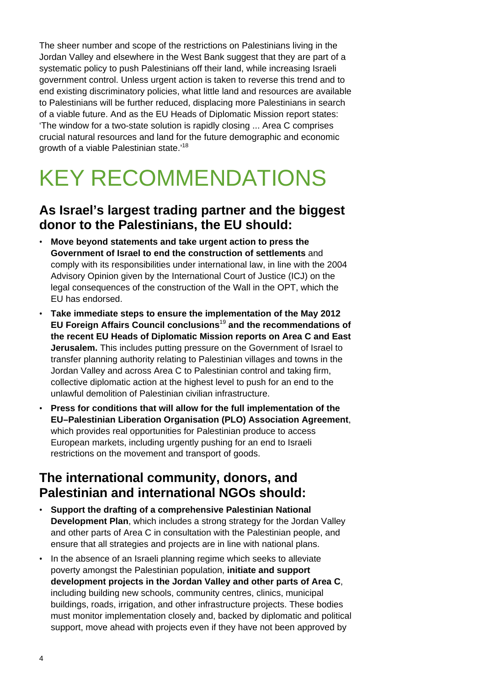The sheer number and scope of the restrictions on Palestinians living in the Jordan Valley and elsewhere in the West Bank suggest that they are part of a systematic policy to push Palestinians off their land, while increasing Israeli government control. Unless urgent action is taken to reverse this trend and to end existing discriminatory policies, what little land and resources are available to Palestinians will be further reduced, displacing more Palestinians in search of a viable future. And as the EU Heads of Diplomatic Mission report states: 'The window for a two-state solution is rapidly closing ... Area C comprises crucial natural resources and land for the future demographic and economic growth of a viable Palestinian state.<sup>'18</sup>

## KEY RECOMMENDATIONS

#### **As Israel's largest trading partner and the biggest donor to the Palestinians, the EU should:**

- **Move beyond statements and take urgent action to press the Government of Israel to end the construction of settlements** and comply with its responsibilities under international law, in line with the 2004 Advisory Opinion given by the International Court of Justice (ICJ) on the legal consequences of the construction of the Wall in the OPT, which the EU has endorsed.
- **Take immediate steps to ensure the implementation of the May 2012 EU Foreign Affairs Council conclusions**<sup>19</sup> **and the recommendations of the recent EU Heads of Diplomatic Mission reports on Area C and East Jerusalem.** This includes putting pressure on the Government of Israel to transfer planning authority relating to Palestinian villages and towns in the Jordan Valley and across Area C to Palestinian control and taking firm, collective diplomatic action at the highest level to push for an end to the unlawful demolition of Palestinian civilian infrastructure.
- **Press for conditions that will allow for the full implementation of the EU–Palestinian Liberation Organisation (PLO) Association Agreement**, which provides real opportunities for Palestinian produce to access European markets, including urgently pushing for an end to Israeli restrictions on the movement and transport of goods.

#### **The international community, donors, and Palestinian and international NGOs should:**

- **Support the drafting of a comprehensive Palestinian National Development Plan**, which includes a strong strategy for the Jordan Valley and other parts of Area C in consultation with the Palestinian people, and ensure that all strategies and projects are in line with national plans.
- In the absence of an Israeli planning regime which seeks to alleviate poverty amongst the Palestinian population, **initiate and support development projects in the Jordan Valley and other parts of Area C**, including building new schools, community centres, clinics, municipal buildings, roads, irrigation, and other infrastructure projects. These bodies must monitor implementation closely and, backed by diplomatic and political support, move ahead with projects even if they have not been approved by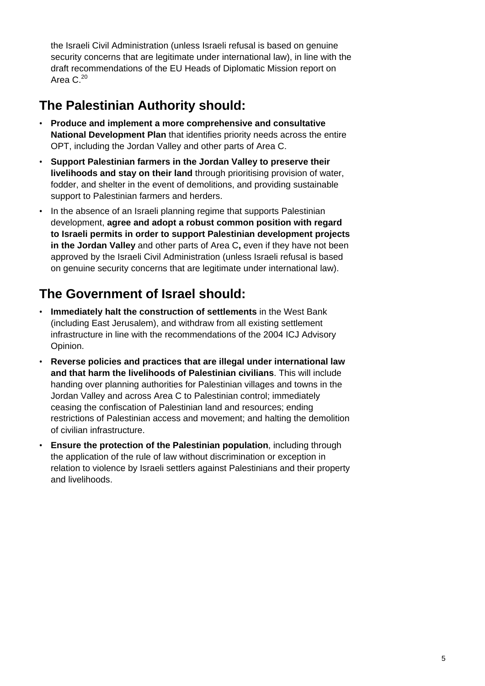the Israeli Civil Administration (unless Israeli refusal is based on genuine security concerns that are legitimate under international law), in line with the draft recommendations of the EU Heads of Diplomatic Mission report on Area  $C^{20}$ 

#### **The Palestinian Authority should:**

- **Produce and implement a more comprehensive and consultative National Development Plan** that identifies priority needs across the entire OPT, including the Jordan Valley and other parts of Area C.
- **Support Palestinian farmers in the Jordan Valley to preserve their livelihoods and stay on their land** through prioritising provision of water, fodder, and shelter in the event of demolitions, and providing sustainable support to Palestinian farmers and herders.
- In the absence of an Israeli planning regime that supports Palestinian development, **agree and adopt a robust common position with regard to Israeli permits in order to support Palestinian development projects in the Jordan Valley** and other parts of Area C**,** even if they have not been approved by the Israeli Civil Administration (unless Israeli refusal is based on genuine security concerns that are legitimate under international law).

#### **The Government of Israel should:**

- **Immediately halt the construction of settlements** in the West Bank (including East Jerusalem), and withdraw from all existing settlement infrastructure in line with the recommendations of the 2004 ICJ Advisory Opinion.
- **Reverse policies and practices that are illegal under international law and that harm the livelihoods of Palestinian civilians**. This will include handing over planning authorities for Palestinian villages and towns in the Jordan Valley and across Area C to Palestinian control; immediately ceasing the confiscation of Palestinian land and resources; ending restrictions of Palestinian access and movement; and halting the demolition of civilian infrastructure.
- **Ensure the protection of the Palestinian population**, including through the application of the rule of law without discrimination or exception in relation to violence by Israeli settlers against Palestinians and their property and livelihoods.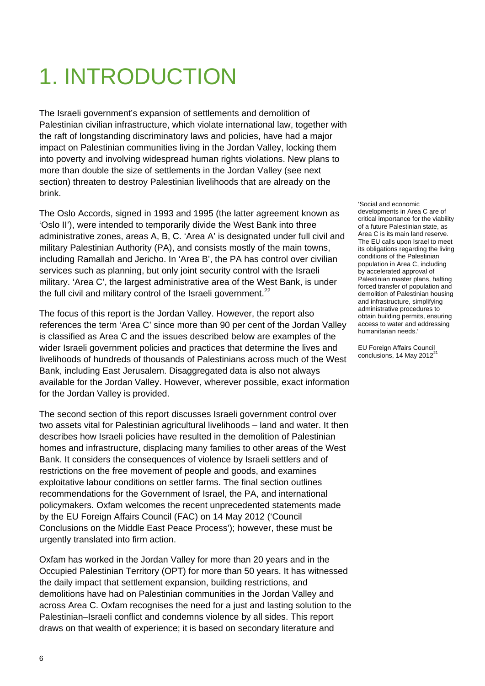# 1. INTRODUCTION

The Israeli government's expansion of settlements and demolition of Palestinian civilian infrastructure, which violate international law, together with the raft of longstanding discriminatory laws and policies, have had a major impact on Palestinian communities living in the Jordan Valley, locking them into poverty and involving widespread human rights violations. New plans to more than double the size of settlements in the Jordan Valley (see next section) threaten to destroy Palestinian livelihoods that are already on the brink.

The Oslo Accords, signed in 1993 and 1995 (the latter agreement known as 'Oslo II'), were intended to temporarily divide the West Bank into three administrative zones, areas A, B, C. 'Area A' is designated under full civil and military Palestinian Authority (PA), and consists mostly of the main towns, including Ramallah and Jericho. In 'Area B', the PA has control over civilian services such as planning, but only joint security control with the Israeli military. 'Area C', the largest administrative area of the West Bank, is under the full civil and military control of the Israeli government.<sup>22</sup>

The focus of this report is the Jordan Valley. However, the report also references the term 'Area C' since more than 90 per cent of the Jordan Valley is classified as Area C and the issues described below are examples of the wider Israeli government policies and practices that determine the lives and livelihoods of hundreds of thousands of Palestinians across much of the West Bank, including East Jerusalem. Disaggregated data is also not always available for the Jordan Valley. However, wherever possible, exact information for the Jordan Valley is provided.

The second section of this report discusses Israeli government control over two assets vital for Palestinian agricultural livelihoods – land and water. It then describes how Israeli policies have resulted in the demolition of Palestinian homes and infrastructure, displacing many families to other areas of the West Bank. It considers the consequences of violence by Israeli settlers and of restrictions on the free movement of people and goods, and examines exploitative labour conditions on settler farms. The final section outlines recommendations for the Government of Israel, the PA, and international policymakers. Oxfam welcomes the recent unprecedented statements made by the EU Foreign Affairs Council (FAC) on 14 May 2012 ('Council Conclusions on the Middle East Peace Process'); however, these must be urgently translated into firm action.

Oxfam has worked in the Jordan Valley for more than 20 years and in the Occupied Palestinian Territory (OPT) for more than 50 years. It has witnessed the daily impact that settlement expansion, building restrictions, and demolitions have had on Palestinian communities in the Jordan Valley and across Area C. Oxfam recognises the need for a just and lasting solution to the Palestinian–Israeli conflict and condemns violence by all sides. This report draws on that wealth of experience; it is based on secondary literature and

'Social and economic developments in Area C are of critical importance for the viability of a future Palestinian state, as Area C is its main land reserve. The EU calls upon Israel to meet its obligations regarding the living conditions of the Palestinian population in Area C, including by accelerated approval of Palestinian master plans, halting forced transfer of population and demolition of Palestinian housing and infrastructure, simplifying administrative procedures to obtain building permits, ensuring access to water and addressing humanitarian needs.'

EU Foreign Affairs Council conclusions, 14 May 2012<sup>21</sup>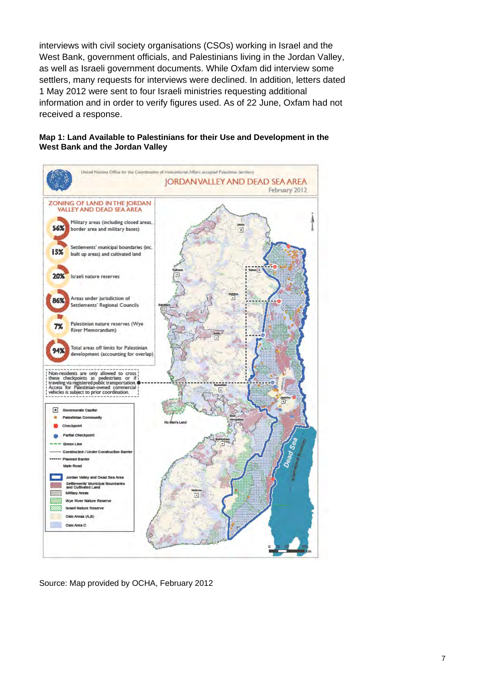interviews with civil society organisations (CSOs) working in Israel and the West Bank, government officials, and Palestinians living in the Jordan Valley, as well as Israeli government documents. While Oxfam did interview some settlers, many requests for interviews were declined. In addition, letters dated 1 May 2012 were sent to four Israeli ministries requesting additional information and in order to verify figures used. As of 22 June, Oxfam had not received a response.



#### **Map 1: Land Available to Palestinians for their Use and Development in the West Bank and the Jordan Valley**

Source: Map provided by OCHA, February 2012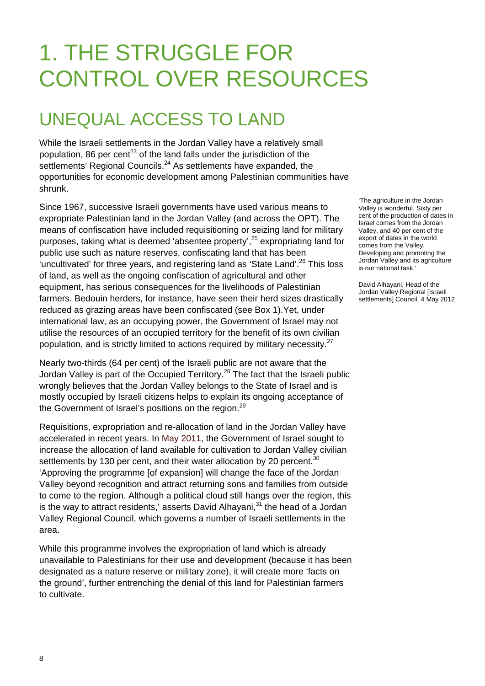# 1. THE STRUGGLE FOR CONTROL OVER RESOURCES

### UNEQUAL ACCESS TO LAND

While the Israeli settlements in the Jordan Valley have a relatively small population, 86 per cent<sup>23</sup> of the land falls under the jurisdiction of the settlements' Regional Councils.<sup>24</sup> As settlements have expanded, the opportunities for economic development among Palestinian communities have shrunk.

Since 1967, successive Israeli governments have used various means to expropriate Palestinian land in the Jordan Valley (and across the OPT). The means of confiscation have included requisitioning or seizing land for military purposes, taking what is deemed 'absentee property',<sup>25</sup> expropriating land for public use such as nature reserves, confiscating land that has been 'uncultivated' for three years, and registering land as 'State Land'.<sup>26</sup> This loss of land, as well as the ongoing confiscation of agricultural and other equipment, has serious consequences for the livelihoods of Palestinian farmers. Bedouin herders, for instance, have seen their herd sizes drastically reduced as grazing areas have been confiscated (see Box 1).Yet, under international law, as an occupying power, the Government of Israel may not utilise the resources of an occupied territory for the benefit of its own civilian population, and is strictly limited to actions required by military necessity. $27$ 

Nearly two-thirds (64 per cent) of the Israeli public are not aware that the Jordan Valley is part of the Occupied Territory.<sup>28</sup> The fact that the Israeli public wrongly believes that the Jordan Valley belongs to the State of Israel and is mostly occupied by Israeli citizens helps to explain its ongoing acceptance of the Government of Israel's positions on the region.<sup>29</sup>

Requisitions, expropriation and re-allocation of land in the Jordan Valley have accelerated in recent years. In May 2011, the Government of Israel sought to increase the allocation of land available for cultivation to Jordan Valley civilian settlements by 130 per cent, and their water allocation by 20 percent.<sup>30</sup> 'Approving the programme [of expansion] will change the face of the Jordan Valley beyond recognition and attract returning sons and families from outside to come to the region. Although a political cloud still hangs over the region, this is the way to attract residents,' asserts David Alhayani, $31$  the head of a Jordan Valley Regional Council, which governs a number of Israeli settlements in the area.

While this programme involves the expropriation of land which is already unavailable to Palestinians for their use and development (because it has been designated as a nature reserve or military zone), it will create more 'facts on the ground', further entrenching the denial of this land for Palestinian farmers to cultivate.

'The agriculture in the Jordan Valley is wonderful. Sixty per cent of the production of dates in Israel comes from the Jordan Valley, and 40 per cent of the export of dates in the world comes from the Valley. Developing and promoting the Jordan Valley and its agriculture is our national task.'

David Alhayani, Head of the Jordan Valley Regional [Israeli settlements] Council, 4 May 2012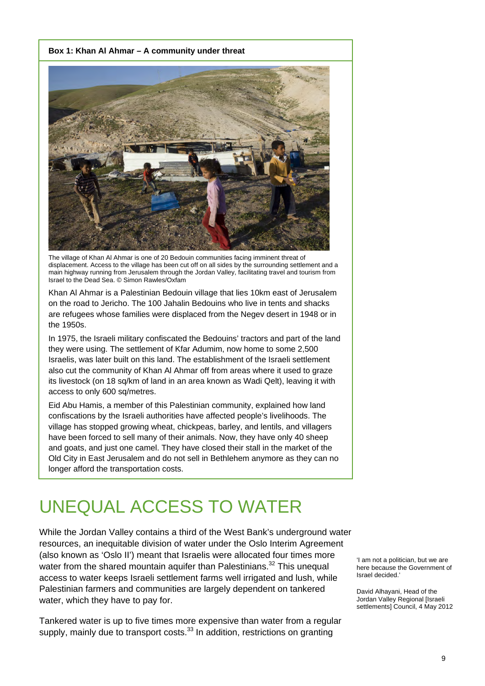#### **Box 1: Khan Al Ahmar – A community under threat**



The village of Khan Al Ahmar is one of 20 Bedouin communities facing imminent threat of displacement. Access to the village has been cut off on all sides by the surrounding settlement and a main highway running from Jerusalem through the Jordan Valley, facilitating travel and tourism from Israel to the Dead Sea. © Simon Rawles/Oxfam

Khan Al Ahmar is a Palestinian Bedouin village that lies 10km east of Jerusalem on the road to Jericho. The 100 Jahalin Bedouins who live in tents and shacks are refugees whose families were displaced from the Negev desert in 1948 or in the 1950s.

In 1975, the Israeli military confiscated the Bedouins' tractors and part of the land they were using. The settlement of Kfar Adumim, now home to some 2,500 Israelis, was later built on this land. The establishment of the Israeli settlement also cut the community of Khan Al Ahmar off from areas where it used to graze its livestock (on 18 sq/km of land in an area known as Wadi Qelt), leaving it with access to only 600 sq/metres.

Eid Abu Hamis, a member of this Palestinian community, explained how land confiscations by the Israeli authorities have affected people's livelihoods. The village has stopped growing wheat, chickpeas, barley, and lentils, and villagers have been forced to sell many of their animals. Now, they have only 40 sheep and goats, and just one camel. They have closed their stall in the market of the Old City in East Jerusalem and do not sell in Bethlehem anymore as they can no longer afford the transportation costs.

### UNEQUAL ACCESS TO WATER

While the Jordan Valley contains a third of the West Bank's underground water resources, an inequitable division of water under the Oslo Interim Agreement (also known as 'Oslo II') meant that Israelis were allocated four times more water from the shared mountain aquifer than Palestinians.<sup>32</sup> This unequal access to water keeps Israeli settlement farms well irrigated and lush, while Palestinian farmers and communities are largely dependent on tankered water, which they have to pay for.

Tankered water is up to five times more expensive than water from a regular supply, mainly due to transport costs.<sup>33</sup> In addition, restrictions on granting

'I am not a politician, but we are here because the Government of Israel decided.'

David Alhayani, Head of the Jordan Valley Regional [Israeli settlements] Council, 4 May 2012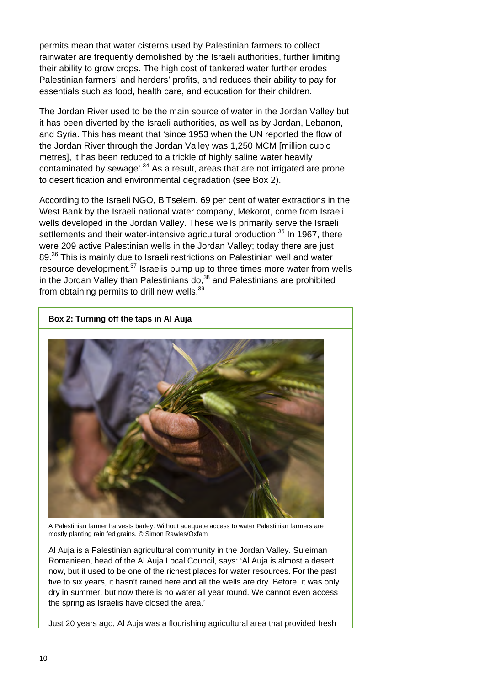permits mean that water cisterns used by Palestinian farmers to collect rainwater are frequently demolished by the Israeli authorities, further limiting their ability to grow crops. The high cost of tankered water further erodes Palestinian farmers' and herders' profits, and reduces their ability to pay for essentials such as food, health care, and education for their children.

The Jordan River used to be the main source of water in the Jordan Valley but it has been diverted by the Israeli authorities, as well as by Jordan, Lebanon, and Syria. This has meant that 'since 1953 when the UN reported the flow of the Jordan River through the Jordan Valley was 1,250 MCM [million cubic metres], it has been reduced to a trickle of highly saline water heavily contaminated by sewage<sup>'.34</sup> As a result, areas that are not irrigated are prone to desertification and environmental degradation (see Box 2).

According to the Israeli NGO, B'Tselem, 69 per cent of water extractions in the West Bank by the Israeli national water company, Mekorot, come from Israeli wells developed in the Jordan Valley. These wells primarily serve the Israeli settlements and their water-intensive agricultural production.<sup>35</sup> In 1967, there were 209 active Palestinian wells in the Jordan Valley; today there are just 89.<sup>36</sup> This is mainly due to Israeli restrictions on Palestinian well and water resource development.37 Israelis pump up to three times more water from wells in the Jordan Valley than Palestinians do, $38$  and Palestinians are prohibited from obtaining permits to drill new wells.<sup>39</sup>



**Box 2: Turning off the taps in Al Auja** 

A Palestinian farmer harvests barley. Without adequate access to water Palestinian farmers are mostly planting rain fed grains. © Simon Rawles/Oxfam

Al Auja is a Palestinian agricultural community in the Jordan Valley. Suleiman Romanieen, head of the Al Auja Local Council, says: 'Al Auja is almost a desert now, but it used to be one of the richest places for water resources. For the past five to six years, it hasn't rained here and all the wells are dry. Before, it was only dry in summer, but now there is no water all year round. We cannot even access the spring as Israelis have closed the area.'

Just 20 years ago, Al Auja was a flourishing agricultural area that provided fresh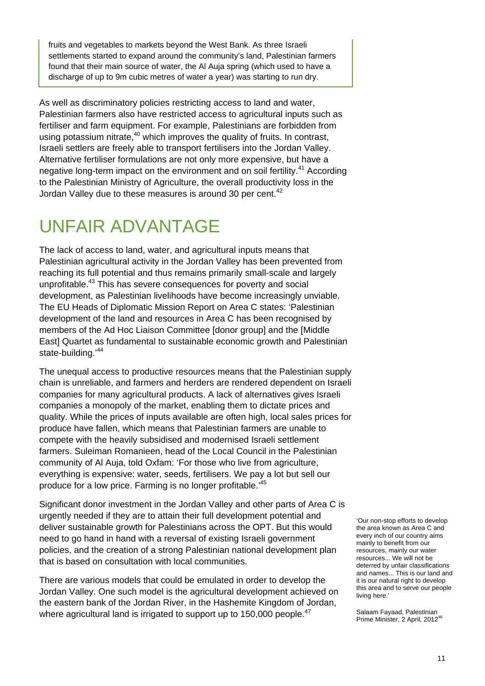fruits and vegetables to markets beyond the West Bank. As three Israeli settlements started to expand around the community's land, Palestinian farmers found that their main source of water, the Al Auja spring (which used to have a discharge of up to 9m cubic metres of water a year) was starting to run dry.

As well as discriminatory policies restricting access to land and water, Palestinian farmers also have restricted access to agricultural inputs such as fertiliser and farm equipment. For example, Palestinians are forbidden from using potassium nitrate, $40$  which improves the quality of fruits. In contrast, Israeli settlers are freely able to transport fertilisers into the Jordan Valley. Alternative fertiliser formulations are not only more expensive, but have a negative long-term impact on the environment and on soil fertility.<sup>41</sup> According to the Palestinian Ministry of Agriculture, the overall productivity loss in the Jordan Valley due to these measures is around 30 per cent.<sup>42</sup>

### UNFAIR ADVANTAGE

The lack of access to land, water, and agricultural inputs means that Palestinian agricultural activity in the Jordan Valley has been prevented from reaching its full potential and thus remains primarily small-scale and largely unprofitable.<sup>43</sup> This has severe consequences for poverty and social development, as Palestinian livelihoods have become increasingly unviable. The EU Heads of Diplomatic Mission Report on Area C states: 'Palestinian development of the land and resources in Area C has been recognised by members of the Ad Hoc Liaison Committee [donor group] and the [Middle East] Quartet as fundamental to sustainable economic growth and Palestinian state-building.<sup>'44</sup>

The unequal access to productive resources means that the Palestinian supply chain is unreliable, and farmers and herders are rendered dependent on Israeli companies for many agricultural products. A lack of alternatives gives Israeli companies a monopoly of the market, enabling them to dictate prices and quality. While the prices of inputs available are often high, local sales prices for produce have fallen, which means that Palestinian farmers are unable to compete with the heavily subsidised and modernised Israeli settlement farmers. Suleiman Romanieen, head of the Local Council in the Palestinian community of Al Auja, told Oxfam: 'For those who live from agriculture, everything is expensive: water, seeds, fertilisers. We pay a lot but sell our produce for a low price. Farming is no longer profitable.'<sup>45</sup>

Significant donor investment in the Jordan Valley and other parts of Area C is urgently needed if they are to attain their full development potential and deliver sustainable growth for Palestinians across the OPT. But this would need to go hand in hand with a reversal of existing Israeli government policies, and the creation of a strong Palestinian national development plan that is based on consultation with local communities.

There are various models that could be emulated in order to develop the Jordan Valley. One such model is the agricultural development achieved on the eastern bank of the Jordan River, in the Hashemite Kingdom of Jordan, where agricultural land is irrigated to support up to 150,000 people.<sup>47</sup>

'Our non-stop efforts to develop the area known as Area C and every inch of our country aims mainly to benefit from our resources, mainly our water resources... We will not be deterred by unfair classifications and names... This is our land and it is our natural right to develop this area and to serve our people living here.'

Salaam Fayaad, Palestinian Prime Minister, 2 April, 2012<sup>46</sup>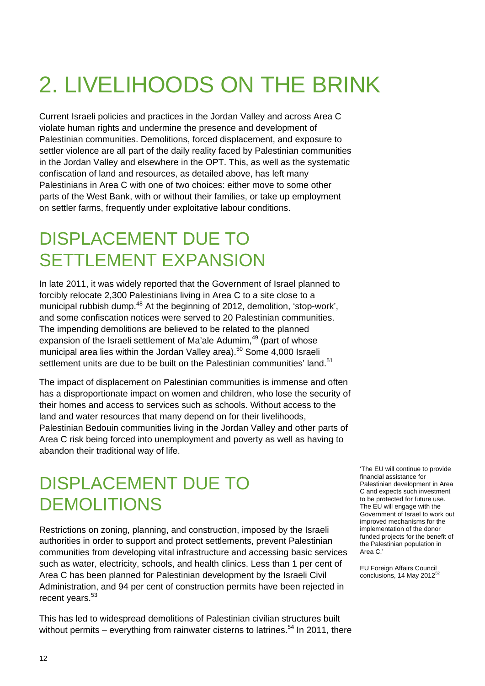# 2. LIVELIHOODS ON THE BRINK

Current Israeli policies and practices in the Jordan Valley and across Area C violate human rights and undermine the presence and development of Palestinian communities. Demolitions, forced displacement, and exposure to settler violence are all part of the daily reality faced by Palestinian communities in the Jordan Valley and elsewhere in the OPT. This, as well as the systematic confiscation of land and resources, as detailed above, has left many Palestinians in Area C with one of two choices: either move to some other parts of the West Bank, with or without their families, or take up employment on settler farms, frequently under exploitative labour conditions.

### DISPLACEMENT DUE TO SETTLEMENT EXPANSION

In late 2011, it was widely reported that the Government of Israel planned to forcibly relocate 2,300 Palestinians living in Area C to a site close to a municipal rubbish dump.<sup>48</sup> At the beginning of 2012, demolition, 'stop-work', and some confiscation notices were served to 20 Palestinian communities. The impending demolitions are believed to be related to the planned expansion of the Israeli settlement of Ma'ale Adumim,<sup>49</sup> (part of whose municipal area lies within the Jordan Valley area).<sup>50</sup> Some 4,000 Israeli settlement units are due to be built on the Palestinian communities' land.<sup>51</sup>

The impact of displacement on Palestinian communities is immense and often has a disproportionate impact on women and children, who lose the security of their homes and access to services such as schools. Without access to the land and water resources that many depend on for their livelihoods, Palestinian Bedouin communities living in the Jordan Valley and other parts of Area C risk being forced into unemployment and poverty as well as having to abandon their traditional way of life.

#### DISPLACEMENT DUE TO DEMOLITIONS

Restrictions on zoning, planning, and construction, imposed by the Israeli authorities in order to support and protect settlements, prevent Palestinian communities from developing vital infrastructure and accessing basic services such as water, electricity, schools, and health clinics. Less than 1 per cent of Area C has been planned for Palestinian development by the Israeli Civil Administration, and 94 per cent of construction permits have been rejected in recent years.<sup>53</sup>

This has led to widespread demolitions of Palestinian civilian structures built without permits – everything from rainwater cisterns to latrines.<sup>54</sup> In 2011, there

'The EU will continue to provide financial assistance for Palestinian development in Area C and expects such investment to be protected for future use. The EU will engage with the Government of Israel to work out improved mechanisms for the implementation of the donor funded projects for the benefit of the Palestinian population in Area C.'

EU Foreign Affairs Council<br>conclusions, 14 May 2012<sup>52</sup>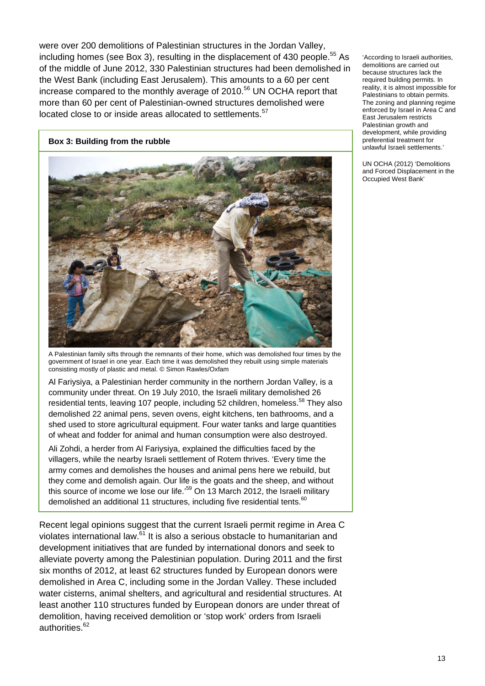were over 200 demolitions of Palestinian structures in the Jordan Valley, including homes (see Box 3), resulting in the displacement of 430 people.<sup>55</sup> As of the middle of June 2012, 330 Palestinian structures had been demolished in the West Bank (including East Jerusalem). This amounts to a 60 per cent increase compared to the monthly average of 2010.<sup>56</sup> UN OCHA report that more than 60 per cent of Palestinian-owned structures demolished were located close to or inside areas allocated to settlements.<sup>57</sup>

#### **Box 3: Building from the rubble**



A Palestinian family sifts through the remnants of their home, which was demolished four times by the government of Israel in one year. Each time it was demolished they rebuilt using simple materials consisting mostly of plastic and metal. © Simon Rawles/Oxfam

Al Fariysiya, a Palestinian herder community in the northern Jordan Valley, is a community under threat. On 19 July 2010, the Israeli military demolished 26 residential tents, leaving 107 people, including 52 children, homeless.<sup>58</sup> They also demolished 22 animal pens, seven ovens, eight kitchens, ten bathrooms, and a shed used to store agricultural equipment. Four water tanks and large quantities of wheat and fodder for animal and human consumption were also destroyed.

Ali Zohdi, a herder from Al Fariysiya, explained the difficulties faced by the villagers, while the nearby Israeli settlement of Rotem thrives. 'Every time the army comes and demolishes the houses and animal pens here we rebuild, but they come and demolish again. Our life is the goats and the sheep, and without this source of income we lose our life.<sup>59</sup> On 13 March 2012, the Israeli military demolished an additional 11 structures, including five residential tents.<sup>60</sup>

Recent legal opinions suggest that the current Israeli permit regime in Area C violates international law.<sup>61</sup> It is also a serious obstacle to humanitarian and development initiatives that are funded by international donors and seek to alleviate poverty among the Palestinian population. During 2011 and the first six months of 2012, at least 62 structures funded by European donors were demolished in Area C, including some in the Jordan Valley. These included water cisterns, animal shelters, and agricultural and residential structures. At least another 110 structures funded by European donors are under threat of demolition, having received demolition or 'stop work' orders from Israeli authorities.<sup>62</sup>

'According to Israeli authorities, demolitions are carried out because structures lack the required building permits. In reality, it is almost impossible for Palestinians to obtain permits. The zoning and planning regime enforced by Israel in Area C and East Jerusalem restricts Palestinian growth and development, while providing preferential treatment for unlawful Israeli settlements.'

UN OCHA (2012) 'Demolitions and Forced Displacement in the Occupied West Bank'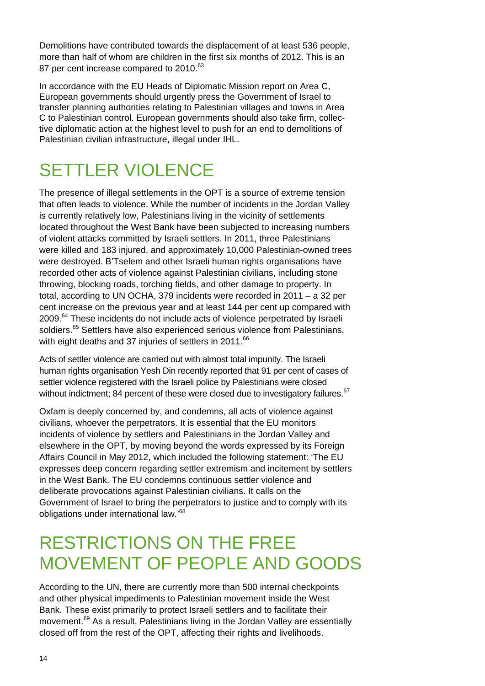Demolitions have contributed towards the displacement of at least 536 people, more than half of whom are children in the first six months of 2012. This is an 87 per cent increase compared to 2010.<sup>63</sup>

In accordance with the EU Heads of Diplomatic Mission report on Area C. European governments should urgently press the Government of Israel to transfer planning authorities relating to Palestinian villages and towns in Area C to Palestinian control. European governments should also take firm, collective diplomatic action at the highest level to push for an end to demolitions of Palestinian civilian infrastructure, illegal under IHL.

### SETTLER VIOLENCE

The presence of illegal settlements in the OPT is a source of extreme tension that often leads to violence. While the number of incidents in the Jordan Valley is currently relatively low, Palestinians living in the vicinity of settlements located throughout the West Bank have been subjected to increasing numbers of violent attacks committed by Israeli settlers. In 2011, three Palestinians were killed and 183 injured, and approximately 10,000 Palestinian-owned trees were destroyed. B'Tselem and other Israeli human rights organisations have recorded other acts of violence against Palestinian civilians, including stone throwing, blocking roads, torching fields, and other damage to property. In total, according to UN OCHA, 379 incidents were recorded in 2011 – a 32 per cent increase on the previous year and at least 144 per cent up compared with 2009.<sup>64</sup> These incidents do not include acts of violence perpetrated by Israeli soldiers.<sup>65</sup> Settlers have also experienced serious violence from Palestinians, with eight deaths and 37 injuries of settlers in 2011.<sup>66</sup>

Acts of settler violence are carried out with almost total impunity. The Israeli human rights organisation Yesh Din recently reported that 91 per cent of cases of settler violence registered with the Israeli police by Palestinians were closed without indictment; 84 percent of these were closed due to investigatory failures.<sup>67</sup>

Oxfam is deeply concerned by, and condemns, all acts of violence against civilians, whoever the perpetrators. It is essential that the EU monitors incidents of violence by settlers and Palestinians in the Jordan Valley and elsewhere in the OPT, by moving beyond the words expressed by its Foreign Affairs Council in May 2012, which included the following statement: 'The EU expresses deep concern regarding settler extremism and incitement by settlers in the West Bank. The EU condemns continuous settler violence and deliberate provocations against Palestinian civilians. It calls on the Government of Israel to bring the perpetrators to justice and to comply with its obligations under international law*.*' 68

#### RESTRICTIONS ON THE FREE MOVEMENT OF PEOPLE AND GOODS

According to the UN, there are currently more than 500 internal checkpoints and other physical impediments to Palestinian movement inside the West Bank. These exist primarily to protect Israeli settlers and to facilitate their movement.<sup>69</sup> As a result, Palestinians living in the Jordan Valley are essentially closed off from the rest of the OPT, affecting their rights and livelihoods.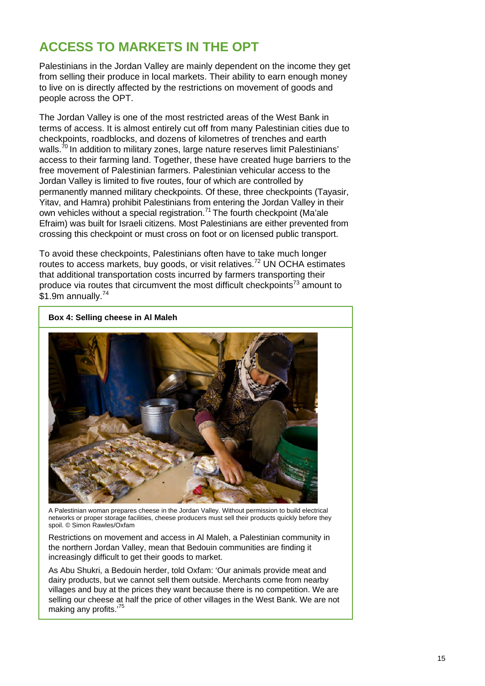#### **ACCESS TO MARKETS IN THE OPT**

Palestinians in the Jordan Valley are mainly dependent on the income they get from selling their produce in local markets. Their ability to earn enough money to live on is directly affected by the restrictions on movement of goods and people across the OPT.

The Jordan Valley is one of the most restricted areas of the West Bank in terms of access. It is almost entirely cut off from many Palestinian cities due to checkpoints, roadblocks, and dozens of kilometres of trenches and earth walls.<sup>70</sup> In addition to military zones, large nature reserves limit Palestinians' access to their farming land. Together, these have created huge barriers to the free movement of Palestinian farmers. Palestinian vehicular access to the Jordan Valley is limited to five routes, four of which are controlled by permanently manned military checkpoints. Of these, three checkpoints (Tayasir, Yitav, and Hamra) prohibit Palestinians from entering the Jordan Valley in their own vehicles without a special registration.<sup>71</sup> The fourth checkpoint (Ma'ale Efraim) was built for Israeli citizens. Most Palestinians are either prevented from crossing this checkpoint or must cross on foot or on licensed public transport.

To avoid these checkpoints, Palestinians often have to take much longer routes to access markets, buy goods, or visit relatives.<sup>72</sup> UN OCHA estimates that additional transportation costs incurred by farmers transporting their produce via routes that circumvent the most difficult checkpoints<sup> $73$ </sup> amount to  $$1.9m$  annually.<sup>74</sup>



**Box 4: Selling cheese in Al Maleh** 

A Palestinian woman prepares cheese in the Jordan Valley. Without permission to build electrical networks or proper storage facilities, cheese producers must sell their products quickly before they spoil. © Simon Rawles/Oxfam

Restrictions on movement and access in Al Maleh, a Palestinian community in the northern Jordan Valley, mean that Bedouin communities are finding it increasingly difficult to get their goods to market.

As Abu Shukri, a Bedouin herder, told Oxfam: 'Our animals provide meat and dairy products, but we cannot sell them outside. Merchants come from nearby villages and buy at the prices they want because there is no competition. We are selling our cheese at half the price of other villages in the West Bank. We are not making any profits.'75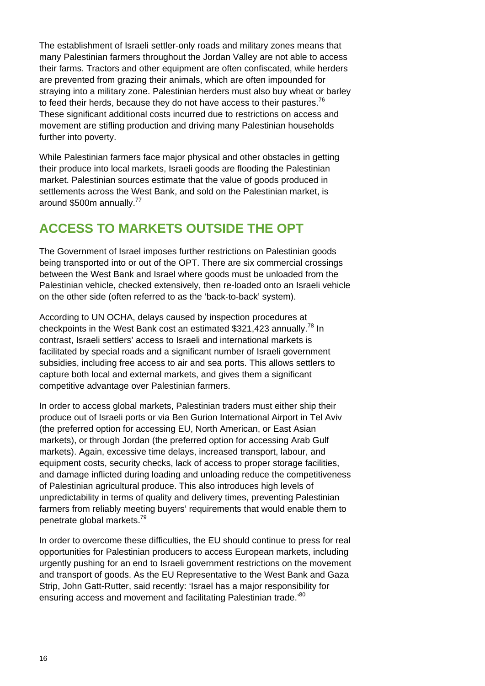The establishment of Israeli settler-only roads and military zones means that many Palestinian farmers throughout the Jordan Valley are not able to access their farms. Tractors and other equipment are often confiscated, while herders are prevented from grazing their animals, which are often impounded for straying into a military zone. Palestinian herders must also buy wheat or barley to feed their herds, because they do not have access to their pastures.<sup>76</sup> These significant additional costs incurred due to restrictions on access and movement are stifling production and driving many Palestinian households further into poverty.

While Palestinian farmers face major physical and other obstacles in getting their produce into local markets, Israeli goods are flooding the Palestinian market. Palestinian sources estimate that the value of goods produced in settlements across the West Bank, and sold on the Palestinian market, is around \$500m annually.<sup>77</sup>

#### **ACCESS TO MARKETS OUTSIDE THE OPT**

The Government of Israel imposes further restrictions on Palestinian goods being transported into or out of the OPT. There are six commercial crossings between the West Bank and Israel where goods must be unloaded from the Palestinian vehicle, checked extensively, then re-loaded onto an Israeli vehicle on the other side (often referred to as the 'back-to-back' system).

According to UN OCHA, delays caused by inspection procedures at checkpoints in the West Bank cost an estimated \$321,423 annually.<sup>78</sup> In contrast, Israeli settlers' access to Israeli and international markets is facilitated by special roads and a significant number of Israeli government subsidies, including free access to air and sea ports. This allows settlers to capture both local and external markets, and gives them a significant competitive advantage over Palestinian farmers.

In order to access global markets, Palestinian traders must either ship their produce out of Israeli ports or via Ben Gurion International Airport in Tel Aviv (the preferred option for accessing EU, North American, or East Asian markets), or through Jordan (the preferred option for accessing Arab Gulf markets). Again, excessive time delays, increased transport, labour, and equipment costs, security checks, lack of access to proper storage facilities, and damage inflicted during loading and unloading reduce the competitiveness of Palestinian agricultural produce. This also introduces high levels of unpredictability in terms of quality and delivery times, preventing Palestinian farmers from reliably meeting buyers' requirements that would enable them to penetrate global markets.<sup>79</sup>

In order to overcome these difficulties, the EU should continue to press for real opportunities for Palestinian producers to access European markets, including urgently pushing for an end to Israeli government restrictions on the movement and transport of goods. As the EU Representative to the West Bank and Gaza Strip, John Gatt-Rutter, said recently: 'Israel has a major responsibility for ensuring access and movement and facilitating Palestinian trade.<sup>80</sup>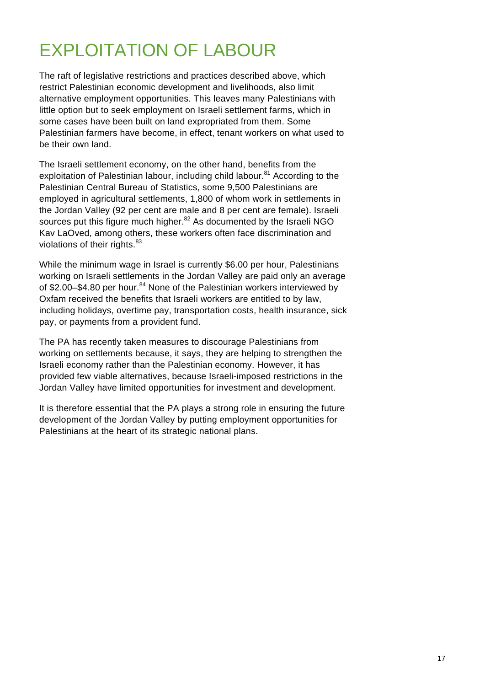### EXPLOITATION OF LABOUR

The raft of legislative restrictions and practices described above, which restrict Palestinian economic development and livelihoods, also limit alternative employment opportunities. This leaves many Palestinians with little option but to seek employment on Israeli settlement farms, which in some cases have been built on land expropriated from them. Some Palestinian farmers have become, in effect, tenant workers on what used to be their own land.

The Israeli settlement economy, on the other hand, benefits from the exploitation of Palestinian labour, including child labour.<sup>81</sup> According to the Palestinian Central Bureau of Statistics, some 9,500 Palestinians are employed in agricultural settlements, 1,800 of whom work in settlements in the Jordan Valley (92 per cent are male and 8 per cent are female). Israeli sources put this figure much higher.<sup>82</sup> As documented by the Israeli NGO Kav LaOved, among others, these workers often face discrimination and violations of their rights. $83$ 

While the minimum wage in Israel is currently \$6.00 per hour, Palestinians working on Israeli settlements in the Jordan Valley are paid only an average of \$2.00–\$4.80 per hour. $84$  None of the Palestinian workers interviewed by Oxfam received the benefits that Israeli workers are entitled to by law, including holidays, overtime pay, transportation costs, health insurance, sick pay, or payments from a provident fund.

The PA has recently taken measures to discourage Palestinians from working on settlements because, it says, they are helping to strengthen the Israeli economy rather than the Palestinian economy. However, it has provided few viable alternatives, because Israeli-imposed restrictions in the Jordan Valley have limited opportunities for investment and development.

It is therefore essential that the PA plays a strong role in ensuring the future development of the Jordan Valley by putting employment opportunities for Palestinians at the heart of its strategic national plans.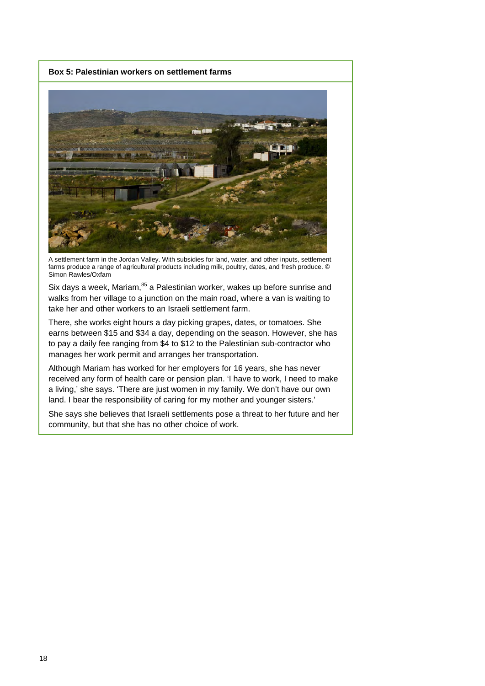**Box 5: Palestinian workers on settlement farms** 



A settlement farm in the Jordan Valley. With subsidies for land, water, and other inputs, settlement farms produce a range of agricultural products including milk, poultry, dates, and fresh produce. © Simon Rawles/Oxfam

Six days a week, Mariam,  $85$  a Palestinian worker, wakes up before sunrise and walks from her village to a junction on the main road, where a van is waiting to take her and other workers to an Israeli settlement farm.

There, she works eight hours a day picking grapes, dates, or tomatoes. She earns between \$15 and \$34 a day, depending on the season. However, she has to pay a daily fee ranging from \$4 to \$12 to the Palestinian sub-contractor who manages her work permit and arranges her transportation.

Although Mariam has worked for her employers for 16 years, she has never received any form of health care or pension plan. 'I have to work, I need to make a living,' she says. 'There are just women in my family. We don't have our own land. I bear the responsibility of caring for my mother and younger sisters.'

She says she believes that Israeli settlements pose a threat to her future and her community, but that she has no other choice of work.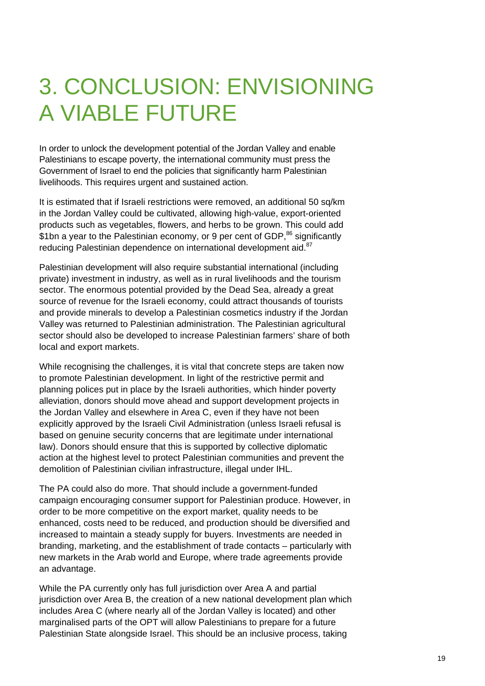# 3. CONCLUSION: ENVISIONING A VIABLE FUTURE

In order to unlock the development potential of the Jordan Valley and enable Palestinians to escape poverty, the international community must press the Government of Israel to end the policies that significantly harm Palestinian livelihoods. This requires urgent and sustained action.

It is estimated that if Israeli restrictions were removed, an additional 50 sq/km in the Jordan Valley could be cultivated, allowing high-value, export-oriented products such as vegetables, flowers, and herbs to be grown. This could add \$1bn a year to the Palestinian economy, or 9 per cent of GDP,<sup>86</sup> significantly reducing Palestinian dependence on international development aid.<sup>87</sup>

Palestinian development will also require substantial international (including private) investment in industry, as well as in rural livelihoods and the tourism sector. The enormous potential provided by the Dead Sea, already a great source of revenue for the Israeli economy, could attract thousands of tourists and provide minerals to develop a Palestinian cosmetics industry if the Jordan Valley was returned to Palestinian administration. The Palestinian agricultural sector should also be developed to increase Palestinian farmers' share of both local and export markets.

While recognising the challenges, it is vital that concrete steps are taken now to promote Palestinian development. In light of the restrictive permit and planning polices put in place by the Israeli authorities, which hinder poverty alleviation, donors should move ahead and support development projects in the Jordan Valley and elsewhere in Area C, even if they have not been explicitly approved by the Israeli Civil Administration (unless Israeli refusal is based on genuine security concerns that are legitimate under international law). Donors should ensure that this is supported by collective diplomatic action at the highest level to protect Palestinian communities and prevent the demolition of Palestinian civilian infrastructure, illegal under IHL.

The PA could also do more. That should include a government-funded campaign encouraging consumer support for Palestinian produce. However, in order to be more competitive on the export market, quality needs to be enhanced, costs need to be reduced, and production should be diversified and increased to maintain a steady supply for buyers. Investments are needed in branding, marketing, and the establishment of trade contacts – particularly with new markets in the Arab world and Europe, where trade agreements provide an advantage.

While the PA currently only has full jurisdiction over Area A and partial jurisdiction over Area B, the creation of a new national development plan which includes Area C (where nearly all of the Jordan Valley is located) and other marginalised parts of the OPT will allow Palestinians to prepare for a future Palestinian State alongside Israel. This should be an inclusive process, taking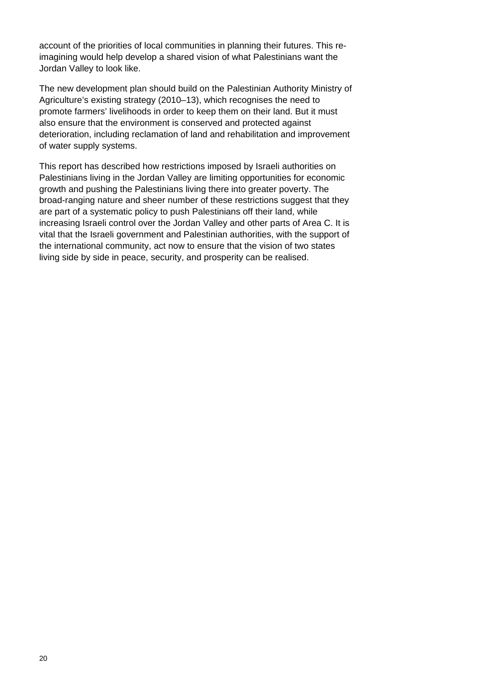account of the priorities of local communities in planning their futures. This reimagining would help develop a shared vision of what Palestinians want the Jordan Valley to look like.

The new development plan should build on the Palestinian Authority Ministry of Agriculture's existing strategy (2010–13), which recognises the need to promote farmers' livelihoods in order to keep them on their land. But it must also ensure that the environment is conserved and protected against deterioration, including reclamation of land and rehabilitation and improvement of water supply systems.

This report has described how restrictions imposed by Israeli authorities on Palestinians living in the Jordan Valley are limiting opportunities for economic growth and pushing the Palestinians living there into greater poverty. The broad-ranging nature and sheer number of these restrictions suggest that they are part of a systematic policy to push Palestinians off their land, while increasing Israeli control over the Jordan Valley and other parts of Area C. It is vital that the Israeli government and Palestinian authorities, with the support of the international community, act now to ensure that the vision of two states living side by side in peace, security, and prosperity can be realised.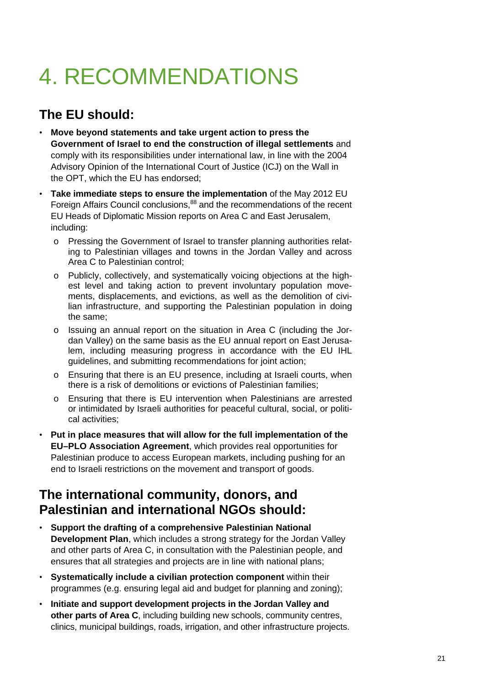# 4. RECOMMENDATIONS

#### **The EU should:**

- **Move beyond statements and take urgent action to press the Government of Israel to end the construction of illegal settlements** and comply with its responsibilities under international law, in line with the 2004 Advisory Opinion of the International Court of Justice (ICJ) on the Wall in the OPT, which the EU has endorsed;
- **Take immediate steps to ensure the implementation** of the May 2012 EU Foreign Affairs Council conclusions,<sup>88</sup> and the recommendations of the recent EU Heads of Diplomatic Mission reports on Area C and East Jerusalem, including:
	- o Pressing the Government of Israel to transfer planning authorities relating to Palestinian villages and towns in the Jordan Valley and across Area C to Palestinian control;
	- o Publicly, collectively, and systematically voicing objections at the highest level and taking action to prevent involuntary population movements, displacements, and evictions, as well as the demolition of civilian infrastructure, and supporting the Palestinian population in doing the same;
	- o Issuing an annual report on the situation in Area C (including the Jordan Valley) on the same basis as the EU annual report on East Jerusalem, including measuring progress in accordance with the EU IHL guidelines, and submitting recommendations for joint action;
	- o Ensuring that there is an EU presence, including at Israeli courts, when there is a risk of demolitions or evictions of Palestinian families;
	- o Ensuring that there is EU intervention when Palestinians are arrested or intimidated by Israeli authorities for peaceful cultural, social, or political activities;
- **Put in place measures that will allow for the full implementation of the EU–PLO Association Agreement**, which provides real opportunities for Palestinian produce to access European markets, including pushing for an end to Israeli restrictions on the movement and transport of goods.

#### **The international community, donors, and Palestinian and international NGOs should:**

- **Support the drafting of a comprehensive Palestinian National Development Plan**, which includes a strong strategy for the Jordan Valley and other parts of Area C, in consultation with the Palestinian people, and ensures that all strategies and projects are in line with national plans;
- **Systematically include a civilian protection component** within their programmes (e.g. ensuring legal aid and budget for planning and zoning);
- **Initiate and support development projects in the Jordan Valley and other parts of Area C**, including building new schools, community centres, clinics, municipal buildings, roads, irrigation, and other infrastructure projects.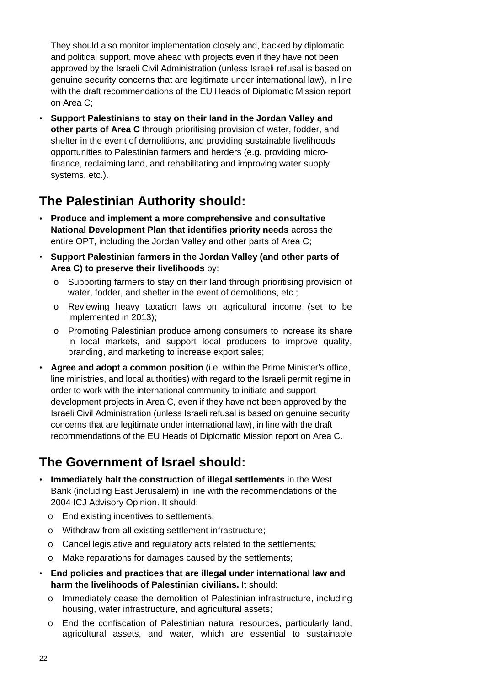They should also monitor implementation closely and, backed by diplomatic and political support, move ahead with projects even if they have not been approved by the Israeli Civil Administration (unless Israeli refusal is based on genuine security concerns that are legitimate under international law), in line with the draft recommendations of the EU Heads of Diplomatic Mission report on Area C;

• **Support Palestinians to stay on their land in the Jordan Valley and other parts of Area C** through prioritising provision of water, fodder, and shelter in the event of demolitions, and providing sustainable livelihoods opportunities to Palestinian farmers and herders (e.g. providing microfinance, reclaiming land, and rehabilitating and improving water supply systems, etc.).

#### **The Palestinian Authority should:**

- **Produce and implement a more comprehensive and consultative National Development Plan that identifies priority needs** across the entire OPT, including the Jordan Valley and other parts of Area C;
- **Support Palestinian farmers in the Jordan Valley (and other parts of Area C) to preserve their livelihoods** by:
	- o Supporting farmers to stay on their land through prioritising provision of water, fodder, and shelter in the event of demolitions, etc.;
	- o Reviewing heavy taxation laws on agricultural income (set to be implemented in 2013);
	- o Promoting Palestinian produce among consumers to increase its share in local markets, and support local producers to improve quality, branding, and marketing to increase export sales;
- **Agree and adopt a common position** (i.e. within the Prime Minister's office, line ministries, and local authorities) with regard to the Israeli permit regime in order to work with the international community to initiate and support development projects in Area C, even if they have not been approved by the Israeli Civil Administration (unless Israeli refusal is based on genuine security concerns that are legitimate under international law), in line with the draft recommendations of the EU Heads of Diplomatic Mission report on Area C.

#### **The Government of Israel should:**

- **Immediately halt the construction of illegal settlements** in the West Bank (including East Jerusalem) in line with the recommendations of the 2004 ICJ Advisory Opinion. It should:
	- o End existing incentives to settlements;
	- o Withdraw from all existing settlement infrastructure;
	- o Cancel legislative and regulatory acts related to the settlements;
	- o Make reparations for damages caused by the settlements;
- **End policies and practices that are illegal under international law and harm the livelihoods of Palestinian civilians.** It should:
	- o Immediately cease the demolition of Palestinian infrastructure, including housing, water infrastructure, and agricultural assets;
	- o End the confiscation of Palestinian natural resources, particularly land, agricultural assets, and water, which are essential to sustainable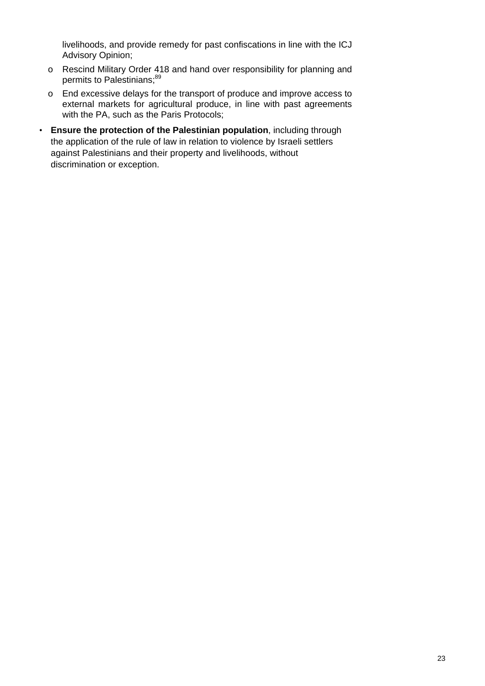livelihoods, and provide remedy for past confiscations in line with the ICJ Advisory Opinion;

- o Rescind Military Order 418 and hand over responsibility for planning and permits to Palestinians;<sup>89</sup>
- o End excessive delays for the transport of produce and improve access to external markets for agricultural produce, in line with past agreements with the PA, such as the Paris Protocols;
- **Ensure the protection of the Palestinian population**, including through the application of the rule of law in relation to violence by Israeli settlers against Palestinians and their property and livelihoods, without discrimination or exception.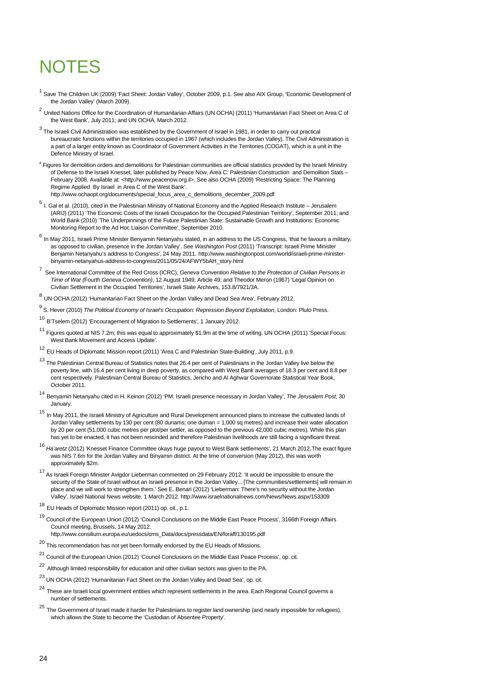#### **NOTES**

- <sup>1</sup> Save The Children UK (2009) 'Fact Sheet: Jordan Valley', October 2009, p.1. See also AIX Group, 'Economic Development of the Jordan Valley' (March 2009).
- <sup>2</sup> United Nations Office for the Coordination of Humanitarian Affairs (UN OCHA) (2011) 'Humanitarian Fact Sheet on Area C of the West Bank', July 2011; and UN OCHA, March 2012.
- $^3$  The Israeli Civil Administration was established by the Government of Israel in 1981, in order to carry out practical bureaucratic functions within the territories occupied in 1967 (which includes the Jordan Valley). The Civil Administration is a part of a larger entity known as Coordinator of Government Activities in the Territories (COGAT), which is a unit in the Defence Ministry of Israel.
- <sup>4</sup> Figures for demolition orders and demolitions for Palestinian communities are official statistics provided by the Israeli Ministry of Defense to the Israeli Knesset, later published by Peace Now, Area C: Palestinian Construction and Demolition Stats – February 2008. Available at: <http://www.peacenow.org.il>. See also OCHA (2009) 'Restricting Space: The Planning Regime Applied By Israel in Area C of the West Bank'. http://www.ochaopt.org/documents/special\_focus\_area\_c\_demolitions\_december\_2009.pdf
- <sup>5</sup> I. Gal et al. (2010), cited in the Palestinian Ministry of National Economy and the Applied Research Institute Jerusalem (ARIJ) (2011) 'The Economic Costs of the Israeli Occupation for the Occupied Palestinian Territory', September 2011; and World Bank (2010) 'The Underpinnings of the Future Palestinian State: Sustainable Growth and Institutions: Economic Monitoring Report to the Ad Hoc Liaison Committee', September 2010.
- $<sup>6</sup>$  In Mav 2011, Israeli Prime Minister Benyamin Netanyahu stated, in an address to the US Congress, 'that he favours a military,</sup> as opposed to civilian, presence in the Jordan Valley'. See *Washington Post* (2011) 'Transcript: Israeli Prime Minister Benjamin Netanyahu's address to Congress', 24 May 2011. http://www.washingtonpost.com/world/israeli-prime-ministerbinyamin-netanyahus-address-to-congress/2011/05/24/AFWY5bAH\_story.html
- 7 See International Committee of the Red Cross (ICRC), *Geneva Convention Relative to the Protection of Civilian Persons in Time of War (*Fourth *Geneva Convention)*, 12 August 1949, Article 49; and Theodor Meron (1967) 'Legal Opinion on Civilian Settlement in the Occupied Territories', Israeli State Archives, 153.8/7921/3A.
- <sup>8</sup> UN OCHA (2012) 'Humanitarian Fact Sheet on the Jordan Valley and Dead Sea Area', February 2012.
- 9 S. Hever (2010) *The Political Economy of Israel's Occupation: Repression Beyond Exploitation*, London: Pluto Press.
- <sup>10</sup> B'Tselem (2012) 'Encouragement of Migration to Settlements', 1 January 2012.
- <sup>11</sup> Figures quoted at NIS 7.2m; this was equal to approximately \$1.9m at the time of writing. UN OCHA (2011) 'Special Focus: West Bank Movement and Access Update'.
- <sup>12</sup> EU Heads of Diplomatic Mission report (2011) 'Area C and Palestinian State-Building', July 2011, p.9.
- <sup>13</sup> The Palestinian Central Bureau of Statistics notes that 26.4 per cent of Palestinians in the Jordan Valley live below the poverty line, with 16.4 per cent living in deep poverty, as compared with West Bank averages of 18.3 per cent and 8.8 per cent respectively. Palestinian Central Bureau of Statistics, Jericho and Al Aghwar Governorate Statistical Year Book, October 2011.
- <sup>14</sup> Benyamin Netanyahu cited in H. Keinon (2012) 'PM: Israeli presence necessary in Jordan Valley', *The Jerusalem Post*, 30 January.
- <sup>15</sup> In May 2011, the Israeli Ministry of Agriculture and Rural Development announced plans to increase the cultivated lands of Jordan Valley settlements by 130 per cent (80 dunams; one duman = 1,000 sq metres) and increase their water allocation by 20 per cent (51,000 cubic metres per plot/per settler, as opposed to the previous 42,000 cubic metres). While this plan has yet to be enacted, it has not been rescinded and therefore Palestinian livelihoods are still facing a significant threat.
- <sup>16</sup> *Ha'aretz* (2012) 'Knesset Finance Committee okays huge payout to West Bank settlements', 21 March 2012*.*The exact figure was NIS 7.6m for the Jordan Valley and Binyamin district. At the time of conversion (May 2012), this was worth approximately \$2m.
- 17 As Israeli Foreign Minister Avigdor Lieberman commented on 29 February 2012: 'It would be impossible to ensure the security of the State of Israel without an Israeli presence in the Jordan Valley... [The communities/settlements] will remain in place and we will work to strengthen them.' See E. Benari (2012) 'Lieberman: There's no security without the Jordan Valley', Israel National News website, 1 March 2012. http://www.israelnationalnews.com/News/News.aspx/153309
- <sup>18</sup> EU Heads of Diplomatic Mission report (2011) op. cit., p.1.
- 19 Council of the European Union (2012) 'Council Conclusions on the Middle East Peace Process', 3166th Foreign Affairs Council meeting, Brussels, 14 May 2012. http://www.consilium.europa.eu/uedocs/cms\_Data/docs/pressdata/EN/foraff/130195.pdf
- 
- $^{20}$  This recommendation has not yet been formally endorsed by the EU Heads of Missions.
- 21 Council of the European Union (2012) 'Council Conclusions on the Middle East Peace Process', op. cit.
- 22 Although limited responsibility for education and other civilian sectors was given to the PA.
- 23 UN OCHA (2012) 'Humanitarian Fact Sheet on the Jordan Valley and Dead Sea', op. cit.
- <sup>24</sup> These are Israeli local government entities which represent settlements in the area. Each Regional Council governs a number of settlements.
- $^{25}$  The Government of Israel made it harder for Palestinians to register land ownership (and nearly impossible for refugees), which allows the State to become the 'Custodian of Absentee Property'.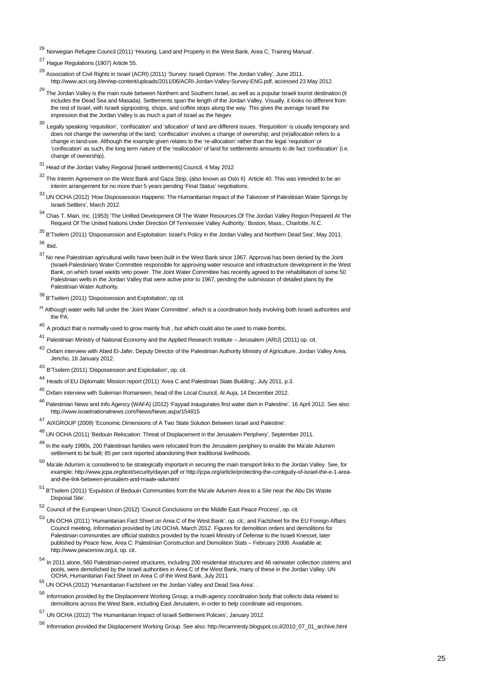<sup>26</sup> Norwegian Refugee Council (2011) 'Housing, Land and Property in the West Bank, Area C, Training Manual'.

<sup>27</sup> Hague Regulations (1907) Article 55.

- 28 Association of Civil Rights in Israel (ACRI) (2011) 'Survey: Israeli Opinion: The Jordan Valley', June 2011. http://www.acri.org.il/en/wp-content/uploads/2011/06/ACRI-Jordan-Valley-Survey-ENG.pdf, accessed 23 May 2012.
- <sup>29</sup> The Jordan Valley is the main route between Northern and Southern Israel, as well as a popular Israeli tourist destination (it includes the Dead Sea and Masada). Settlements span the length of the Jordan Valley. Visually, it looks no different from the rest of Israel, with Israeli signposting, shops, and coffee stops along the way. This gives the average Israeli the impression that the Jordan Valley is as much a part of Israel as the Negev.
- <sup>30</sup> Legally speaking 'requisition', 'confiscation' and 'allocation' of land are different issues. 'Requisition' is usually temporary and does not change the ownership of the land; 'confiscation' involves a change of ownership; and (re)allocation refers to a change in land-use. Although the example given relates to the 're-allocation' rather than the legal 'requisition' or 'confiscation' as such, the long term nature of the 'reallocation' of land for settlements amounts to de fact 'confiscation' (i.e. change of ownership).
- 31 Head of the Jordan Valley Regional [Israeli settlements] Council, 4 May 2012
- 32 The Interim Agreement on the West Bank and Gaza Strip, (also known as Oslo II) Article 40. This was intended to be an interim arrangement for no more than 5 years pending 'Final Status' negotiations.
- 33 UN OCHA (2012) 'How Dispossession Happens: The Humanitarian Impact of the Takeover of Palestinian Water Springs by Israeli Settlers', March 2012.
- 34 Chas T. Main, Inc. (1953) 'The Unified Development Of The Water Resources Of The Jordan Valley Region Prepared At The Request Of The United Nations Under Direction Of Tennessee Valley Authority.' Boston, Mass., Charlotte, N.C.
- 35 B'Tselem (2011) 'Dispossession and Exploitation: Israel's Policy in the Jordan Valley and Northern Dead Sea', May 2011. <sup>36</sup> Ibid.

- 37 No new Palestinian agricultural wells have been built in the West Bank since 1967. Approval has been denied by the Joint (Israeli-Palestinian) Water Committee responsible for approving water resource and infrastructure development in the West Bank, on which Israel wields veto power. The Joint Water Committee has recently agreed to the rehabilitation of some 50 Palestinian wells in the Jordan Valley that were active prior to 1967, pending the submission of detailed plans by the Palestinian Water Authority.
- 38 B'Tselem (2011) 'Dispossession and Exploitation', op cit.
- <sup>39</sup> Although water wells fall under the 'Joint Water Committee', which is a coordination body involving both Israeli authorities and the PA.
- <sup>40</sup> A product that is normally used to grow mainly fruit, but which could also be used to make bombs.
- <sup>41</sup> Palestinian Ministry of National Economy and the Applied Research Institute Jerusalem (ARIJ) (2011) op. cit.
- 42 Oxfam interview with Abed El-Jafer, Deputy Director of the Palestinian Authority Ministry of Agriculture, Jordan Valley Area, Jericho, 18 January 2012.
- <sup>43</sup> B'Tselem (2011) 'Dispossession and Exploitation', op. cit.
- <sup>44</sup> Heads of EU Diplomatic Mission report (2011) 'Area C and Palestinian State Building', July 2011, p.3.
- 45 Oxfam interview with Suleiman Romanieen, head of the Local Council, Al Auja, 14 December 2012.
- 46 Palestinian News and Info Agency (WAFA) (2012) 'Fayyad inaugurates first water dam in Palestine', 16 April 2012. See also: http://www.israelnationalnews.com/News/News.aspx/154815
- <sup>47</sup> AIXGROUP (2009) 'Economic Dimensions of A Two State Solution Between Israel and Palestine'.
- 48 UN OCHA (2011) 'Bedouin Relocation: Threat of Displacement in the Jerusalem Periphery', September 2011.
- 49 In the early 1990s, 200 Palestinian families were relocated from the Jerusalem periphery to enable the Ma'ale Adumim settlement to be built; 85 per cent reported abandoning their traditional livelihoods.
- <sup>50</sup> Ma'ale Adumim is considered to be strategically important in securing the main transport links to the Jordan Valley. See, for example: http://www.jcpa.org/text/security/dayan.pdf or http://jcpa.org/article/protecting-the-contiguity-of-israel-the-e-1-areaand-the-link-between-jerusalem-and-maale-adumim/
- 51 B'Tselem (2011) 'Expulsion of Bedouin Communities from the Ma'ale Adumim Area to a Site near the Abu Dis Waste Disposal Site'.
- <sup>52</sup> Council of the European Union (2012) 'Council Conclusions on the Middle East Peace Process', op. cit.
- <sup>53</sup> UN OCHA (2011) 'Humanitarian Fact Sheet on Area C of the West Bank', op. cit.; and Factsheet for the EU Foreign Affairs Council meeting. Information provided by UN OCHA, March 2012. Figures for demolition orders and demolitions for Palestinian communities are official statistics provided by the Israeli Ministry of Defense to the Israeli Knesset, later published by Peace Now, Area C: Palestinian Construction and Demolition Stats – February 2008. Available at: http://www.peacenow.org.il, op. cit.
- <sup>54</sup> In 2011 alone, 560 Palestinian-owned structures, including 200 residential structures and 46 rainwater collection cisterns and pools, were demolished by the Israeli authorities in Area C of the West Bank, many of these in the Jordan Valley. UN OCHA, Humanitarian Fact Sheet on Area C of the West Bank, July 2011
- 55 UN OCHA (2012) 'Humanitarian Factsheet on the Jordan Valley and Dead Sea Area'. .
- <sup>56</sup> Information provided by the Displacement Working Group, a multi-agency coordination body that collects data related to demolitions across the West Bank, including East Jerusalem, in order to help coordinate aid responses.
- <sup>57</sup> UN OCHA (2012) 'The Humanitarian Impact of Israeli Settlement Policies', January 2012.
- <sup>58</sup> Information provided the Displacement Working Group. See also: http://ecamnesty.blogspot.co.il/2010\_07\_01\_archive.html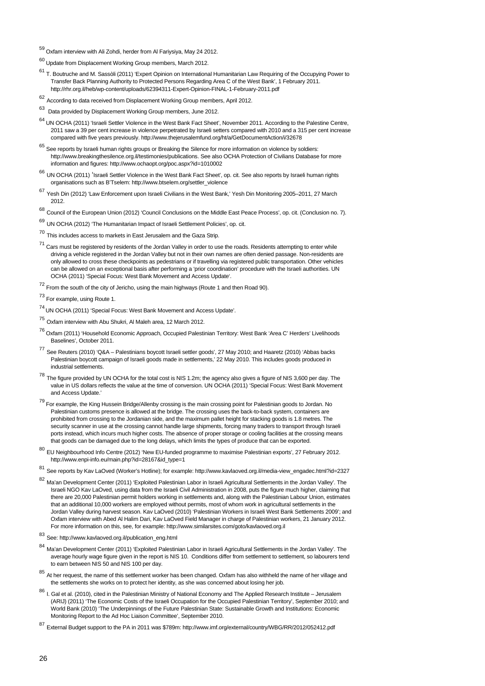- 59 Oxfam interview with Ali Zohdi, herder from Al Fariysiya, May 24 2012.
- $^{60}$  Update from Displacement Working Group members, March 2012.
- 61 T. Boutruche and M. Sassòli (2011) 'Expert Opinion on International Humanitarian Law Requiring of the Occupying Power to Transfer Back Planning Authority to Protected Persons Regarding Area C of the West Bank', 1 February 2011. http://rhr.org.il/heb/wp-content/uploads/62394311-Expert-Opinion-FINAL-1-February-2011.pdf
- <sup>62</sup> According to data received from Displacement Working Group members, April 2012.
- 63 Data provided by Displacement Working Group members, June 2012.
- 64 UN OCHA (2011) 'Israeli Settler Violence in the West Bank Fact Sheet', November 2011. According to the Palestine Centre, 2011 saw a 39 per cent increase in violence perpetrated by Israeli setters compared with 2010 and a 315 per cent increase compared with five years previously. http://www.thejerusalemfund.org/ht/a/GetDocumentAction/i/32678
- $65$  See reports by Israeli human rights groups or Breaking the Silence for more information on violence by soldiers: http://www.breakingthesilence.org.il/testimonies/publications. See also OCHA Protection of Civilians Database for more information and figures: http://www.ochaopt.org/poc.aspx?id=1010002
- <sup>66</sup> UN OCHA (2011) 'Israeli Settler Violence in the West Bank Fact Sheet', op. cit. See also reports by Israeli human rights organisations such as B'Tselem: http://www.btselem.org/settler\_violence
- <sup>67</sup> Yesh Din (2012) 'Law Enforcement upon Israeli Civilians in the West Bank,' Yesh Din Monitoring 2005–2011, 27 March 2012.
- <sup>68</sup> Council of the European Union (2012) 'Council Conclusions on the Middle East Peace Process', op. cit. (Conclusion no. 7).
- <sup>69</sup> UN OCHA (2012) 'The Humanitarian Impact of Israeli Settlement Policies', op. cit.
- <sup>70</sup> This includes access to markets in East Jerusalem and the Gaza Strip.
- $71$  Cars must be registered by residents of the Jordan Valley in order to use the roads. Residents attempting to enter while driving a vehicle registered in the Jordan Valley but not in their own names are often denied passage. Non-residents are only allowed to cross these checkpoints as pedestrians or if travelling via registered public transportation. Other vehicles can be allowed on an exceptional basis after performing a 'prior coordination' procedure with the Israeli authorities. UN OCHA (2011) 'Special Focus: West Bank Movement and Access Update'.
- $72$  From the south of the city of Jericho, using the main highways (Route 1 and then Road 90).
- 73 For example, using Route 1.
- <sup>74</sup> UN OCHA (2011) 'Special Focus: West Bank Movement and Access Update'.
- <sup>75</sup> Oxfam interview with Abu Shukri, Al Maleh area, 12 March 2012.
- 76 Oxfam (2011) 'Household Economic Approach, Occupied Palestinian Territory: West Bank 'Area C' Herders' Livelihoods Baselines', October 2011.
- <sup>77</sup> See Reuters (2010) 'Q&A Palestinians boycott Israeli settler goods', 27 May 2010; and Haaretz (2010) 'Abbas backs Palestinian boycott campaign of Israeli goods made in settlements,' 22 May 2010. This includes goods produced in industrial settlements.
- $^{78}$  The figure provided by UN OCHA for the total cost is NIS 1.2m; the agency also gives a figure of NIS 3,600 per day. The value in US dollars reflects the value at the time of conversion. UN OCHA (2011) 'Special Focus: West Bank Movement and Access Update.'
- <sup>79</sup> For example, the King Hussein Bridge/Allenby crossing is the main crossing point for Palestinian goods to Jordan. No Palestinian customs presence is allowed at the bridge. The crossing uses the back-to-back system, containers are prohibited from crossing to the Jordanian side, and the maximum pallet height for stacking goods is 1.8 metres. The security scanner in use at the crossing cannot handle large shipments, forcing many traders to transport through Israeli ports instead, which incurs much higher costs. The absence of proper storage or cooling facilities at the crossing means that goods can be damaged due to the long delays, which limits the types of produce that can be exported.
- $80$  EU Neighbourhood Info Centre (2012) 'New EU-funded programme to maximise Palestinian exports', 27 February 2012. http://www.enpi-info.eu/main.php?id=28167&id\_type=1
- $81$  See reports by Kav LaOved (Worker's Hotline); for example: http://www.kavlaoved.org.il/media-view\_engadec.html?id=2327
- <sup>82</sup> Ma'an Development Center (2011) 'Exploited Palestinian Labor in Israeli Agricultural Settlements in the Jordan Valley'. The Israeli NGO Kav LaOved, using data from the Israeli Civil Administration in 2008, puts the figure much higher, claiming that there are 20,000 Palestinian permit holders working in settlements and, along with the Palestinian Labour Union, estimates that an additional 10,000 workers are employed without permits, most of whom work in agricultural settlements in the Jordan Valley during harvest season. Kav LaOved (2010) 'Palestinian Workers in Israeli West Bank Settlements 2009'; and Oxfam interview with Abed Al Halim Dari, Kav LaOved Field Manager in charge of Palestinian workers, 21 January 2012. For more information on this, see, for example: http://www.similarsites.com/goto/kavlaoved.org.il
- <sup>83</sup> See: http://www.kavlaoved.org.il/publication\_eng.html
- <sup>84</sup> Ma'an Development Center (2011) 'Exploited Palestinian Labor in Israeli Agricultural Settlements in the Jordan Valley'. The average hourly wage figure given in the report is NIS 10. Conditions differ from settlement to settlement, so labourers tend to earn between NIS 50 and NIS 100 per day.
- $85$  At her request, the name of this settlement worker has been changed. Oxfam has also withheld the name of her village and the settlements she works on to protect her identity, as she was concerned about losing her job.
- 86 I. Gal et al. (2010), cited in the Palestinian Ministry of National Economy and The Applied Research Institute Jerusalem (ARIJ) (2011) 'The Economic Costs of the Israeli Occupation for the Occupied Palestinian Territory', September 2010; and World Bank (2010) 'The Underpinnings of the Future Palestinian State: Sustainable Growth and Institutions: Economic Monitoring Report to the Ad Hoc Liaison Committee', September 2010.
- <sup>87</sup> External Budget support to the PA in 2011 was \$789m: http://www.imf.org/external/country/WBG/RR/2012/052412.pdf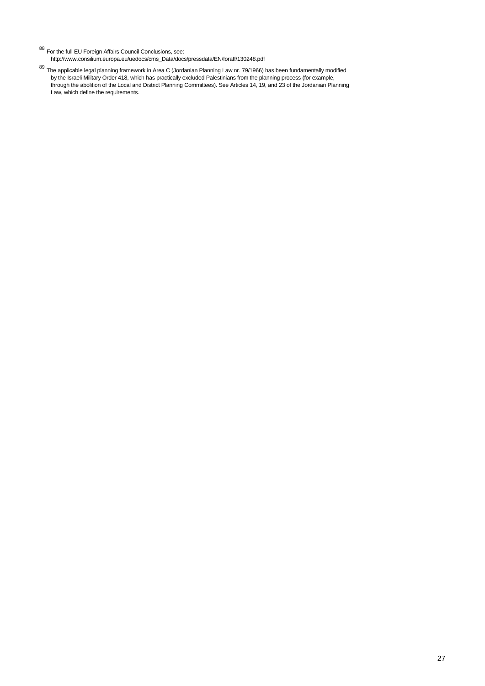88 For the full EU Foreign Affairs Council Conclusions, see:

http://www.consilium.europa.eu/uedocs/cms\_Data/docs/pressdata/EN/foraff/130248.pdf

<sup>89</sup> The applicable legal planning framework in Area C (Jordanian Planning Law nr. 79/1966) has been fundamentally modified by the Israeli Military Order 418, which has practically excluded Palestinians from the planning process (for example, through the abolition of the Local and District Planning Committees). See Articles 14, 19, and 23 of the Jordanian Planning Law, which define the requirements.